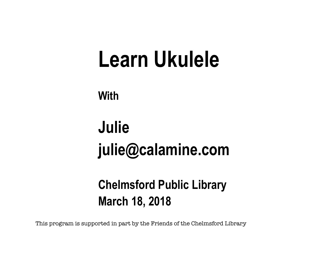# **Learn Ukulele**

**With** 

## **Julie julie@calamine.com**

### **Chelmsford Public Library March 18, 2018**

This program is supported in part by the Friends of the Chelmsford Library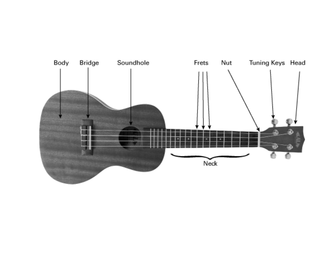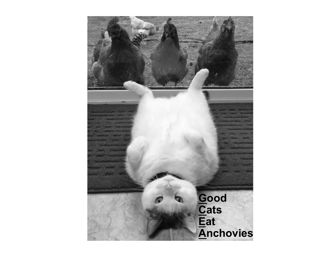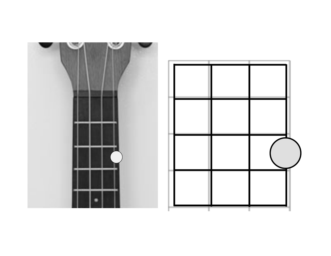

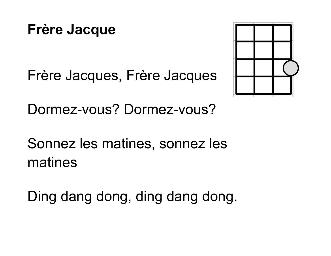**Frère Jacque**

Frère Jacques, Frère Jacques



Dormez-vous? Dormez-vous?

Sonnez les matines, sonnez les matines

Ding dang dong, ding dang dong.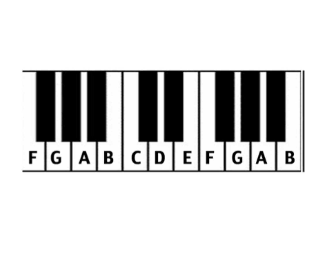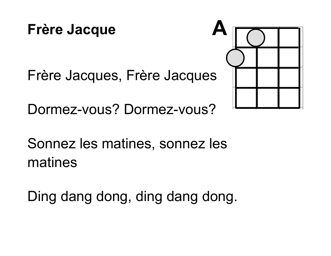**Frère Jacque**

Frère Jacques, Frère Jacques

Dormez-vous? Dormez-vous?

Sonnez les matines, sonnez les matines

Ding dang dong, ding dang dong.

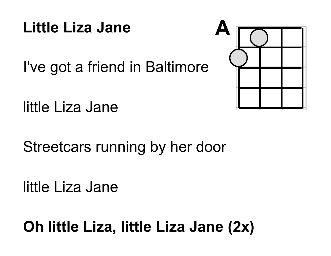

I've got a friend in Baltimore

little Liza Jane

Streetcars running by her door

little Liza Jane

### **Oh little Liza, little Liza Jane (2x)**

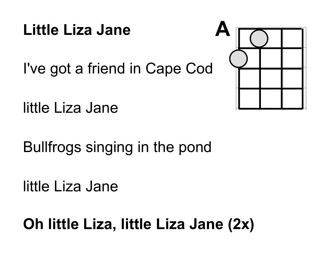**Little Liza Jane**

I've got a friend in Cape Cod



little Liza Jane

Bullfrogs singing in the pond

little Liza Jane

**Oh little Liza, little Liza Jane (2x)**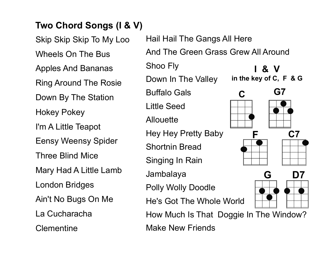#### **Two Chord Songs (I & V)**

Skip Skip Skip To My Loo Wheels On The Bus Apples And Bananas Ring Around The Rosie Down By The Station Hokey Pokey I'm A Little Teapot Eensy Weensy Spider Three Blind Mice Mary Had A Little Lamb London Bridges Ain't No Bugs On Me La Cucharacha **Clementine** 

Hail Hail The Gangs All Here And The Green Grass Grew All Around Shoo Fly Down In The Valley Buffalo Gals Little Seed **Allouette** Hey Hey Pretty Baby Shortnin Bread Singing In Rain Jambalaya Polly Wolly Doodle He's Got The Whole World How Much Is That Doggie In The Window? Make New Friends **F C7 C G7 G D7 I & V in the key of C, F & G**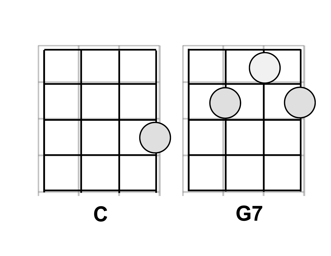



 $\mathbf C$ 

G7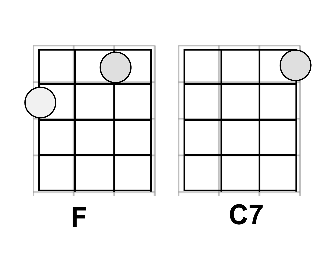

F



C7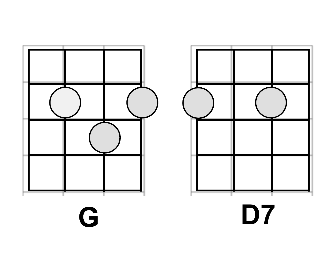



D7

G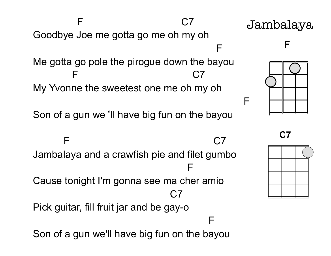F C7 Goodbye Joe me gotta go me oh my oh For the contract of the contract of the contract of the contract of the contract of the contract of the contract of Me gotta go pole the pirogue down the bayou F C7 My Yvonne the sweetest one me oh my oh **Figure 1999** - Particular Contract of Contract of Contract of Contract of Contract of Contract of Contract of Son of a gun we'll have big fun on the bayou F C7 Jambalaya and a crawfish pie and filet gumbo Fig. 2014 and the state of the state of the state of the State of the State of the State of the State of the S Cause tonight I'm gonna see ma cher amio <u>C7</u> Pick guitar, fill fruit jar and be gay-o **Figure 1999** - Particular Contract of Contract of Contract of Contract of Contract of Contract of Contract of Son of a gun we'll have big fun on the bayou

Jambalaya



**F** 

**C7** 

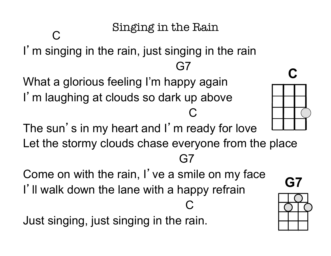Singing in the Rain<sup>C</sup> I'm singing in the rain, just singing in the rain **G7** What a glorious feeling I'm happy again I'm laughing at clouds so dark up above **C C** The sun's in my heart and I'm ready for love Let the stormy clouds chase everyone from the place **G7** Come on with the rain, I' ve a smile on my face I'll walk down the lane with a happy refrain **C C** Just singing, just singing in the rain. **C G7**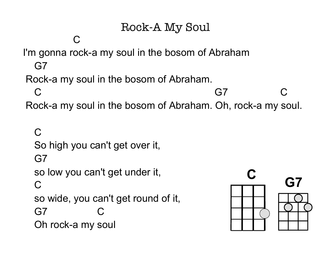### Rock-A My Soul

I'm gonna rock-a my soul in the bosom of Abraham G7

Rock-a my soul in the bosom of Abraham.

C

C G7 C Rock-a my soul in the bosom of Abraham. Oh, rock-a my soul.

C So high you can't get over it, G7 so low you can't get under it, C so wide, you can't get round of it,  $G7$ Oh rock-a my soul

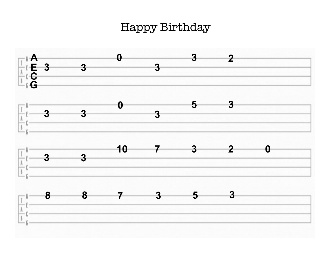### Happy Birthday

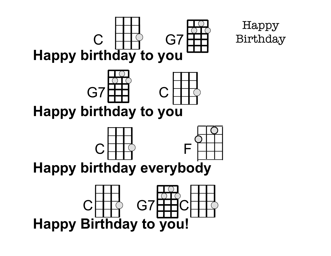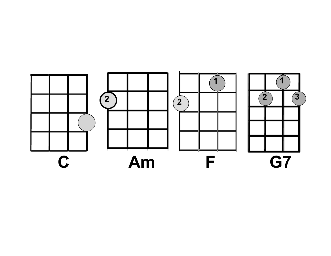